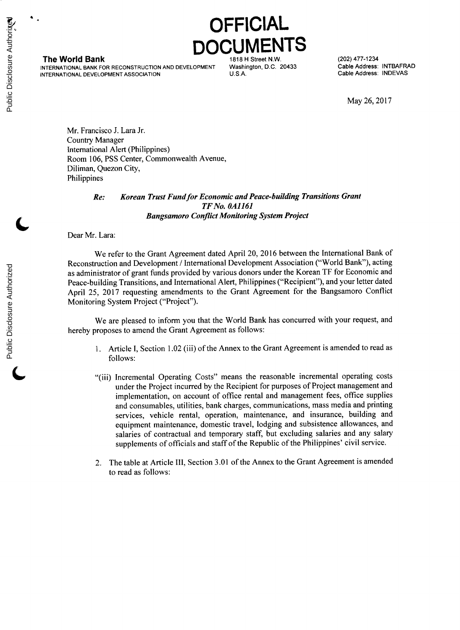## **OFFICIAL DUMEN**

**The World Bank 1818 CONVERTED MANUS AND MANUS AND HEAT AT A 1818 H Street N.W. (202) 477-1234**<br>NTERNATIONAL BANK FOR RECONSTRUCTION AND DEVELOPMENT Washington, D.C. 20433 Cable Address: INTBAFRAD **INTERNATIONAL** BANK FOR **RECONSTRUCTION AND DEVELOPMENT** Washington, **D.C.** 20433 Cable Address: INTBAFRAD **INTERNATIONAL DEVELOPMENT ASSOCIATION** 

May **26, 2017**

Mr. Francisco **J.** Lara Jr. Country Manager International Alert (Philippines) Room **106, PSS** Center, Commonwealth Avenue, Diliman, Quezon City, Philippines

## *Re: Korean Trust Fundfor Economic and Peace-building Transitions Grant TF No. 0A1161 Bangsamoro Conflict Monitoring System Project*

Dear Mr. Lara:

We refer to the Grant Agreement dated April 20, **2016** between the International Bank of Reconstruction and Development **/** International Development Association ("World Bank"), acting as administrator of grant funds provided **by** various donors under the Korean TF for Economic and Peace-building Transitions, and International Alert, Philippines ("Recipient"), and your letter dated April **25, 2017** requesting amendments to the Grant Agreement for the Bangsamoro Conflict Monitoring System Project ("Project").

We are pleased to inform you that the World Bank has concurred with your request, and hereby proposes to amend the Grant Agreement as follows:

- **1.** Article **I,** Section 1.02 (iii) of the Annex to the Grant Agreement is amended to read as **follows:**
- **(Iv** "(iii) Incremental Operating Costs" means the reasonable incremental operating costs under the Project incurred **by** the Recipient for purposes of Project management and implementation, on account of office rental and management fees, office supplies and consumables, utilities, bank charges, communications, mass media and printing services, vehicle rental, operation, maintenance, and insurance, building and equipment maintenance, domestic travel, lodging and subsistence allowances, and salaries of contractual and temporary staff, but excluding salaries and any salary supplements of officials and staff of the Republic of the Philippines' civil service.
- 2. The table at Article III, Section **3.01** of the Annex to the Grant Agreement is amended to read as follows:

Public Disclosure Authorized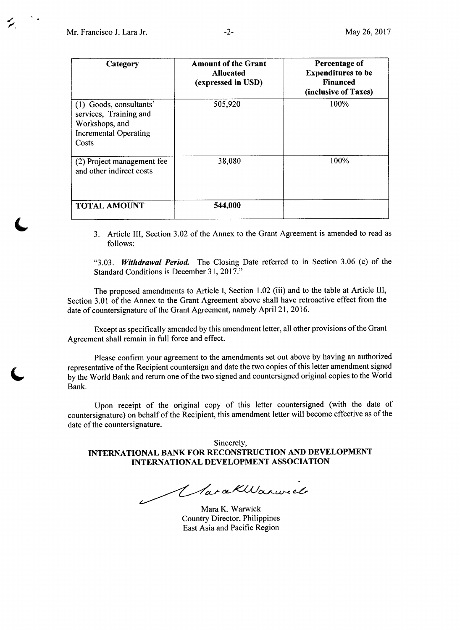| Category                                                                                                     | <b>Amount of the Grant</b><br><b>Allocated</b><br>(expressed in USD) | Percentage of<br><b>Expenditures to be</b><br><b>Financed</b><br>(inclusive of Taxes) |
|--------------------------------------------------------------------------------------------------------------|----------------------------------------------------------------------|---------------------------------------------------------------------------------------|
| (1) Goods, consultants'<br>services, Training and<br>Workshops, and<br><b>Incremental Operating</b><br>Costs | 505,920                                                              | 100%                                                                                  |
| (2) Project management fee<br>and other indirect costs                                                       | 38,080                                                               | 100%                                                                                  |
| <b>TOTAL AMOUNT</b>                                                                                          | 544,000                                                              |                                                                                       |

**3.** Article III, Section **3.02** of the Annex to the Grant Agreement is amended to read as **follows:**

*"3.03. Withdrawal Period* The Closing Date referred to in Section **3.06** (c) of the Standard Conditions is December **31, 2017."**

The proposed amendments to Article **I,** Section 1.02 (iii) and to the table at Article III, Section **3.01** of the Annex to the Grant Agreement above shall have retroactive effect from the date of countersignature of the Grant Agreement, namely April 21, **2016.**

Except as specifically amended **by** this amendment letter, all other provisions of the Grant Agreement shall remain in full force and effect.

Please confirm your agreement to the amendments set out above **by** having an authorized representative of the Recipient countersign and date the two copies of this letter amendment signed **by** the World Bank and return one of the two signed and countersigned original copies to the World Bank.

Upon receipt of the original copy of this letter countersigned (with the date of countersignature) on behalf of the Recipient, this amendment letter will become effective as of the date of the countersignature.

Sincerely, **INTERNATIONAL BANK FOR RECONSTRUCTION AND DEVELOPMENT INTERNATIONAL DEVELOPMENT ASSOCIATION**

1 larakWarweel

Mara K. Warwick Country Director, Philippines East Asia and Pacific Region